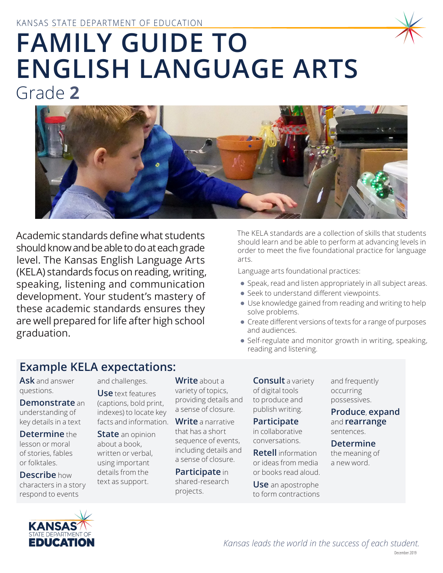

# **FAMILY GUIDE TO ENGLISH LANGUAGE ARTS**  Grade **2**



Academic standards define what students should know and be able to do at each grade level. The Kansas English Language Arts (KELA) standards focus on reading, writing, speaking, listening and communication development. Your student's mastery of these academic standards ensures they are well prepared for life after high school graduation.

The KELA standards are a collection of skills that students should learn and be able to perform at advancing levels in order to meet the five foundational practice for language arts.

Language arts foundational practices:

- Speak, read and listen appropriately in all subject areas.
- Seek to understand different viewpoints.
- Use knowledge gained from reading and writing to help solve problems.
- Create different versions of texts for a range of purposes and audiences.
- Self-regulate and monitor growth in writing, speaking, reading and listening.

## **Example KELA expectations:**

**Ask** and answer questions.

**Demonstrate** an understanding of key details in a text

**Determine** the lesson or moral of stories, fables or folktales.

**Describe** how characters in a story respond to events

and challenges.

**Use** text features (captions, bold print, indexes) to locate key facts and information.

**State** an opinion about a book, written or verbal, using important details from the text as support.

**Write** about a variety of topics, providing details and a sense of closure.

**Write** a narrative that has a short sequence of events, including details and a sense of closure.

**Participate** in shared-research projects.

**Consult** a variety of digital tools to produce and publish writing.

#### **Participate**

in collaborative conversations.

**Retell** information or ideas from media or books read aloud.

**Use** an apostrophe to form contractions and frequently occurring possessives.

**Produce**, **expand** and **rearrange** sentences.

#### **Determine**

the meaning of a new word.



December 2019 *Kansas leads the world in the success of each student.*